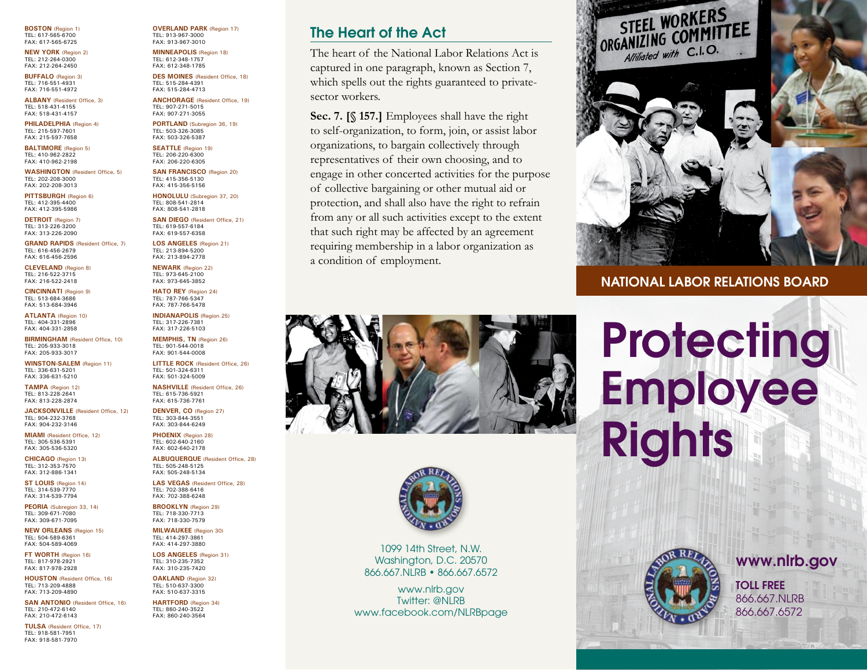**Boston** (Region 1) TEL: 617-565-6700 FAX: 617-565-6725

**new York** (Region 2) TEL: 212-264-0300 FAX: 212-264-2450

**Buffalo** (Region 3) TEL: 716-551-4931 FAX: 716-551-4972

**alBanY** (Resident Office, 3) TEL: 518-431-4155 FAX: 518-431-4157

**PHILADELPHIA** (Region 4) TEL: 215-597-7601 FAX: 215-597-7658

**Baltimore** (Region 5) TEL: 410-962-2822 FAX: 410-962-2198

**washington** (Resident Office, 5) TEL: 202-208-3000 FAX: 202-208-3013

**PITTSBURGH** (Region 6) TEL: 412-395-4400 FAX: 412-395-5986

**DETROIT** (Region 7) TEL: 313-226-3200 FAX: 313-226-2090

**GRAND RAPIDS** (Resident Office, 7) TEL: 616-456-2679 FAX: 616-456-2596

**Cleveland** (Region 8) TEL: 216-522-3715 FAX: 216-522-2418

**CinCinnati** (Region 9) TEL: 513-684-3686 FAX: 513-684-3946

**atlanta** (Region 10) TEL: 404-331-2896 FAX: 404-331-2858

**BIRMINGHAM** (Resident Office, 10) TEL: 205-933-3018 FAX: 205-933-3017

**winston-salem** (Region 11) TEL: 336-631-5201 FAX: 336-631-5210

**tamPa** (Region 12) TEL: 813-228-2641 FAX: 813-228-2874

**JACKSONVILLE** (Resident Office, 12) TEL: 904-232-3768 FAX: 904-232-3146

**MIAMI** (Resident Office, 12) TEL: 305-536-5391 FAX: 305-536-5320

**ChiCago** (Region 13) TEL: 312-353-7570 FAX: 312-886-1341

**st louis** (Region 14) TEL: 314-539-7770 FAX: 314-539-7794

**Peoria** (Subregion 33, 14) TEL: 309-671-7080 FAX: 309-671-7095

**new orleans** (Region 15) TEL: 504-589-6361 FAX: 504-589-4069

**FT WORTH (Region 16)** TEL: 817-978-2921 FAX: 817-978-2928

**HOUSTON** (Resident Office, 16) TEL: 713-209-4888 FAX: 713-209-4890

**SAN ANTONIO (Resident Office, 16)** TEL: 210-472-6140 FAX: 210-472-6143

**tulsa** (Resident Office, 17) TEL: 918-581-7951 FAX: 918-581-7970

**overland Park** (Region 17) TEL: 913-967-3000 FAX: 913-967-3010

**minneaPolis** (Region 18) TEL: 612-348-1757 FAX: 612-348-1785

**DES MOINES** (Resident Office, 18) TEL: 515-284-4391 FAX: 515-284-4713

**anChorage** (Resident Office, 19) TEL: 907-271-5015 FAX: 907-271-3055

PORTLAND (Subregion 36, 19) TEL: 503-326-3085 FAX: 503-326-5387

**seattle** (Region 19) TEL: 206-220-6300 FAX: 206-220-6305

**san franCisCo** (Region 20) TEL: 415-356-5130 FAX: 415-356-5156

**honolulu** (Subregion 37, 20) TEL: 808-541-2814 FAX: 808-541-2818

**SAN DIEGO** (Resident Office, 21) TEL: 619-557-6184 FAX: 619-557-6358 **los angeles** (Region 21)

TEL: 213-894-5200 FAX: 213-894-2778 **NEWARK** (Region 22)

TEL: 973-645-2100 FAX: 973-645-3852 **HATO REY** (Region 24) TEL: 787-766-5347

FAX: 787-766-5478 **indianaPolis** (Region 25) TEL: 317-226-7381 FAX: 317-226-5103

**memPhis, tn** (Region 26) TEL: 901-544-0018 FAX: 901-544-0008

**LITTLE ROCK** (Resident Office, 26) TEL: 501-324-6311 FAX: 501-324-5009 **nashville** (Resident Office, 26)

TEL: 615-736-5921 FAX: 615-736-7761 **DENVER, CO** (Region 27) TEL: 303-844-3551

FAX: 303-844-6249 **Phoenix** (Region 28) TEL: 602-640-2160 FAX: 602-640-2178

**ALBUQUERQUE** (Resident Office, 28) TEL: 505-248-5125 FAX: 505-248-5134

**las vegas** (Resident Office, 28) TEL: 702-388-6416 FAX: 702-388-6248

**BrooklYn** (Region 29) TEL: 718-330-7713 FAX: 718-330-7579

**milwaukee** (Region 30) TEL: 414-297-3861 FAX: 414-297-3880

**los angeles** (Region 31) TEL: 310-235-7352 FAX: 310-235-7420

**oakland** (Region 32) TEL: 510-637-3300 FAX: 510-637-3315

**HARTFORD** (Region 34) TEL: 860-240-3522 FAX: 860-240-3564

#### The Heart of the Act

The heart of the National Labor Relations Act is captured in one paragraph, known as Section 7, which spells out the rights guaranteed to privatesector workers.

**Sec. 7. [§ 157.]** Employees shall have the right to self-organization, to form, join, or assist labor organizations, to bargain collectively through representatives of their own choosing, and to engage in other concerted activities for the purpose of collective bargaining or other mutual aid or protection, and shall also have the right to refrain from any or all such activities except to the extent that such right may be affected by an agreement requiring membership in a labor organization as a condition of employment.





1099 14th Street, N.W. Washington, D.C. 20570 866.667.NLRB • 866.667.6572

www.nlrb.gov Twitter: @NLRB www.facebook.com/NLRBpage



NATiONAL LAbOR RELATiONs bOARd

# **Protecting** Employee **Rights**





TOLL FREE 866.667.NLRB 866.667.6572